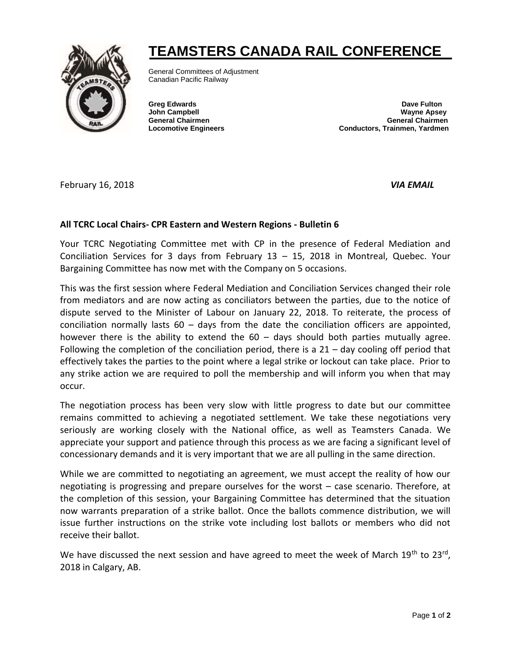## **TEAMSTERS CANADA RAIL CONFERENCE**



General Committees of Adjustment Canadian Pacific Railway

**Greg Edwards Community Community Community Community Community Community Community Community Community Community John Campbell Wayne Apsey General Chairmen General Chairmen** General Chairmen General Chairmen **Locomotive Engineers Conductors, Trainmen, Yardmen** 

February 16, 2018 *VIA EMAIL*

## **All TCRC Local Chairs- CPR Eastern and Western Regions - Bulletin 6**

Your TCRC Negotiating Committee met with CP in the presence of Federal Mediation and Conciliation Services for 3 days from February  $13 - 15$ , 2018 in Montreal, Quebec. Your Bargaining Committee has now met with the Company on 5 occasions.

This was the first session where Federal Mediation and Conciliation Services changed their role from mediators and are now acting as conciliators between the parties, due to the notice of dispute served to the Minister of Labour on January 22, 2018. To reiterate, the process of conciliation normally lasts 60 – days from the date the conciliation officers are appointed, however there is the ability to extend the  $60 -$  days should both parties mutually agree. Following the completion of the conciliation period, there is a  $21 - day$  cooling off period that effectively takes the parties to the point where a legal strike or lockout can take place. Prior to any strike action we are required to poll the membership and will inform you when that may occur.

The negotiation process has been very slow with little progress to date but our committee remains committed to achieving a negotiated settlement. We take these negotiations very seriously are working closely with the National office, as well as Teamsters Canada. We appreciate your support and patience through this process as we are facing a significant level of concessionary demands and it is very important that we are all pulling in the same direction.

While we are committed to negotiating an agreement, we must accept the reality of how our negotiating is progressing and prepare ourselves for the worst – case scenario. Therefore, at the completion of this session, your Bargaining Committee has determined that the situation now warrants preparation of a strike ballot. Once the ballots commence distribution, we will issue further instructions on the strike vote including lost ballots or members who did not receive their ballot.

We have discussed the next session and have agreed to meet the week of March 19<sup>th</sup> to 23<sup>rd</sup>, 2018 in Calgary, AB.